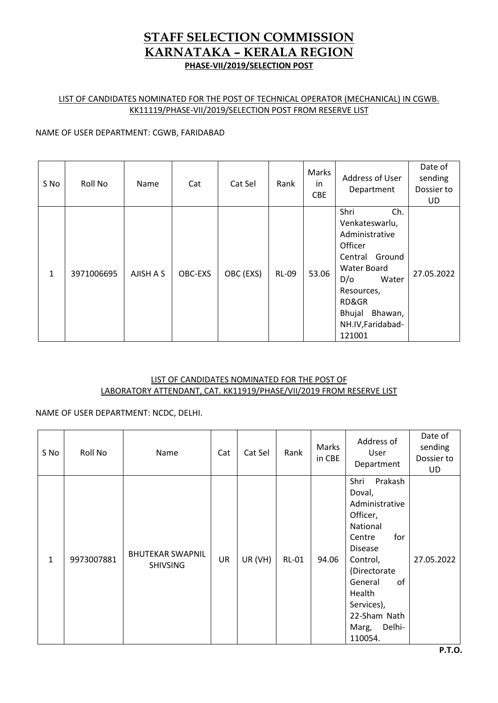# LIST OF CANDIDATES NOMINATED FOR THE POST OF TECHNICAL OPERATOR (MECHANICAL) IN CGWB. KK11119/PHASE-VII/2019/SELECTION POST FROM RESERVE LIST

## NAME OF USER DEPARTMENT: CGWB, FARIDABAD

| S No | Roll No    | Name      | Cat     | Cat Sel   | Rank         | Marks<br>in<br><b>CBE</b> | Address of User<br>Department                                                                                                                                                          | Date of<br>sending<br>Dossier to<br>UD |
|------|------------|-----------|---------|-----------|--------------|---------------------------|----------------------------------------------------------------------------------------------------------------------------------------------------------------------------------------|----------------------------------------|
| 1    | 3971006695 | AJISH A S | OBC-EXS | OBC (EXS) | <b>RL-09</b> | 53.06                     | Shri<br>Ch.<br>Venkateswarlu,<br>Administrative<br>Officer<br>Ground<br>Central<br>Water Board<br>D/O<br>Water<br>Resources,<br>RD&GR<br>Bhujal Bhawan,<br>NH.IV, Faridabad-<br>121001 | 27.05.2022                             |

## LIST OF CANDIDATES NOMINATED FOR THE POST OF LABORATORY ATTENDANT, CAT. KK11919/PHASE/VII/2019 FROM RESERVE LIST

# NAME OF USER DEPARTMENT: NCDC, DELHI.

| S No         | Roll No    | Name                                       | Cat | Cat Sel | Rank         | Marks<br>in CBE | Address of<br>User<br>Department                                                                                                                                                                                          | Date of<br>sending<br>Dossier to<br><b>UD</b> |
|--------------|------------|--------------------------------------------|-----|---------|--------------|-----------------|---------------------------------------------------------------------------------------------------------------------------------------------------------------------------------------------------------------------------|-----------------------------------------------|
| $\mathbf{1}$ | 9973007881 | <b>BHUTEKAR SWAPNIL</b><br><b>SHIVSING</b> | UR  | UR (VH) | <b>RL-01</b> | 94.06           | Prakash<br>Shri<br>Doval,<br>Administrative<br>Officer,<br>National<br>for<br>Centre<br><b>Disease</b><br>Control,<br>(Directorate<br>General<br>of<br>Health<br>Services),<br>22-Sham Nath<br>Delhi-<br>Marg,<br>110054. | 27.05.2022                                    |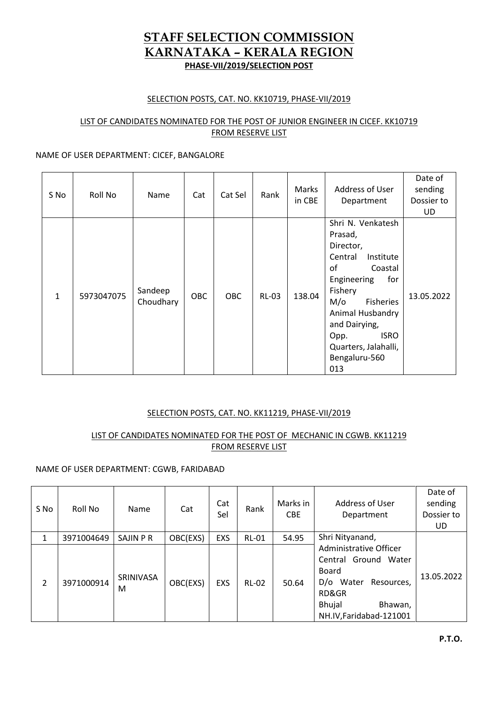## SELECTION POSTS, CAT. NO. KK10719, PHASE-VII/2019

### LIST OF CANDIDATES NOMINATED FOR THE POST OF JUNIOR ENGINEER IN CICEF. KK10719 FROM RESERVE LIST

### NAME OF USER DEPARTMENT: CICEF, BANGALORE

| S No         | Roll No    | Name                 | Cat        | Cat Sel | Rank         | Marks<br>in CBE | Address of User<br>Department                                                                                                                                                                                                                                     | Date of<br>sending<br>Dossier to<br><b>UD</b> |
|--------------|------------|----------------------|------------|---------|--------------|-----------------|-------------------------------------------------------------------------------------------------------------------------------------------------------------------------------------------------------------------------------------------------------------------|-----------------------------------------------|
| $\mathbf{1}$ | 5973047075 | Sandeep<br>Choudhary | <b>OBC</b> | OBC.    | <b>RL-03</b> | 138.04          | Shri N. Venkatesh<br>Prasad,<br>Director,<br>Central<br>Institute<br>0f<br>Coastal<br>Engineering<br>for<br>Fishery<br>$M/\sigma$<br><b>Fisheries</b><br>Animal Husbandry<br>and Dairying,<br><b>ISRO</b><br>Opp.<br>Quarters, Jalahalli,<br>Bengaluru-560<br>013 | 13.05.2022                                    |

### SELECTION POSTS, CAT. NO. KK11219, PHASE-VII/2019

## LIST OF CANDIDATES NOMINATED FOR THE POST OF MECHANIC IN CGWB. KK11219 FROM RESERVE LIST

### NAME OF USER DEPARTMENT: CGWB, FARIDABAD

| S No           | Roll No    | Name           | Cat      | Cat<br>Sel | Rank         | Marks in<br><b>CBE</b> | Address of User<br>Department                                                                                                                      | Date of<br>sending<br>Dossier to<br>UD. |
|----------------|------------|----------------|----------|------------|--------------|------------------------|----------------------------------------------------------------------------------------------------------------------------------------------------|-----------------------------------------|
| 1              | 3971004649 | SAJIN P R      | OBC(EXS) | EXS        | <b>RL-01</b> | 54.95                  | Shri Nityanand,                                                                                                                                    |                                         |
| $\overline{2}$ | 3971000914 | SRINIVASA<br>М | OBC(EXS) | <b>EXS</b> | <b>RL-02</b> | 50.64                  | Administrative Officer<br>Central Ground Water<br>Board<br>D/o Water<br>Resources,<br>RD&GR<br><b>Bhujal</b><br>Bhawan,<br>NH.IV, Faridabad-121001 | 13.05.2022                              |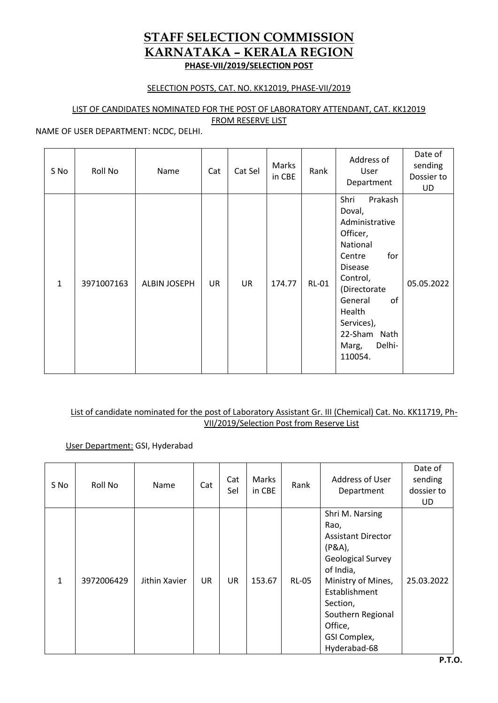## SELECTION POSTS, CAT. NO. KK12019, PHASE-VII/2019

# LIST OF CANDIDATES NOMINATED FOR THE POST OF LABORATORY ATTENDANT, CAT. KK12019

FROM RESERVE LIST

### NAME OF USER DEPARTMENT: NCDC, DELHI.

| S No | Roll No    | Name         | Cat | Cat Sel | Marks<br>in CBE | Rank         | Address of<br>User<br>Department                                                                                                                                                                                          | Date of<br>sending<br>Dossier to<br><b>UD</b> |
|------|------------|--------------|-----|---------|-----------------|--------------|---------------------------------------------------------------------------------------------------------------------------------------------------------------------------------------------------------------------------|-----------------------------------------------|
| 1    | 3971007163 | ALBIN JOSEPH | UR  | UR      | 174.77          | <b>RL-01</b> | Shri<br>Prakash<br>Doval,<br>Administrative<br>Officer,<br>National<br>for<br>Centre<br><b>Disease</b><br>Control,<br>(Directorate<br>of<br>General<br>Health<br>Services),<br>22-Sham Nath<br>Delhi-<br>Marg,<br>110054. | 05.05.2022                                    |

# List of candidate nominated for the post of Laboratory Assistant Gr. III (Chemical) Cat. No. KK11719, Ph-VII/2019/Selection Post from Reserve List

# User Department: GSI, Hyderabad

| S No         | Roll No    | Name          | Cat       | Cat<br>Sel | Marks<br>in CBE | Rank         | Address of User<br>Department                                                                                                                                                                                              | Date of<br>sending<br>dossier to<br>UD. |
|--------------|------------|---------------|-----------|------------|-----------------|--------------|----------------------------------------------------------------------------------------------------------------------------------------------------------------------------------------------------------------------------|-----------------------------------------|
| $\mathbf{1}$ | 3972006429 | Jithin Xavier | <b>UR</b> | <b>UR</b>  | 153.67          | <b>RL-05</b> | Shri M. Narsing<br>Rao,<br><b>Assistant Director</b><br>(P&A),<br><b>Geological Survey</b><br>of India,<br>Ministry of Mines,<br>Establishment<br>Section,<br>Southern Regional<br>Office,<br>GSI Complex,<br>Hyderabad-68 | 25.03.2022                              |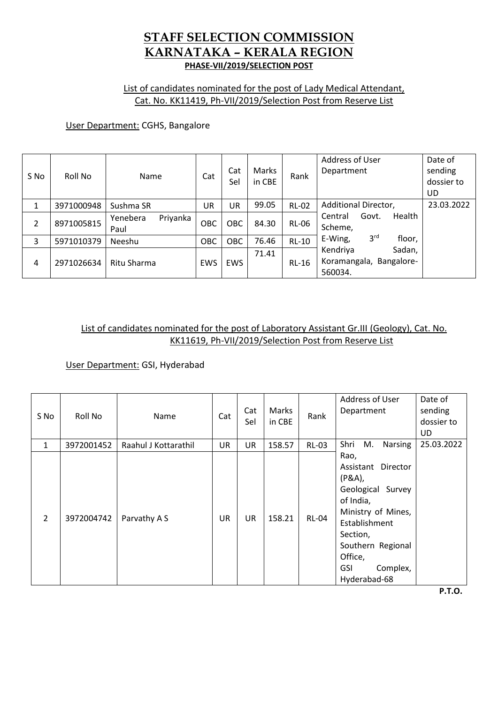# List of candidates nominated for the post of Lady Medical Attendant, Cat. No. KK11419, Ph-VII/2019/Selection Post from Reserve List

# User Department: CGHS, Bangalore

| S No | Roll No    | Name                         | Cat | Cat<br>Sel | Marks<br>in CBE | Rank         | Address of User<br>Department                            | Date of<br>sending<br>dossier to<br>UD. |
|------|------------|------------------------------|-----|------------|-----------------|--------------|----------------------------------------------------------|-----------------------------------------|
| 1    | 3971000948 | Sushma SR                    | UR  | UR         | 99.05           | <b>RL-02</b> | Additional Director,                                     | 23.03.2022                              |
| 2    | 8971005815 | Yenebera<br>Priyanka<br>Paul | OBC | <b>OBC</b> | 84.30           | <b>RL-06</b> | Health<br>Govt.<br>Central<br>Scheme,                    |                                         |
| 3    | 5971010379 | Neeshu                       | OBC | <b>OBC</b> | 76.46           | $RL-10$      | 3 <sup>rd</sup><br>E-Wing,<br>floor,                     |                                         |
| 4    | 2971026634 | Ritu Sharma                  | EWS | <b>EWS</b> | 71.41           | <b>RL-16</b> | Sadan,<br>Kendriya<br>Koramangala, Bangalore-<br>560034. |                                         |

# List of candidates nominated for the post of Laboratory Assistant Gr.III (Geology), Cat. No. KK11619, Ph-VII/2019/Selection Post from Reserve List

User Department: GSI, Hyderabad

| S No           | Roll No    | Name                 | Cat       | Cat<br>Sel | Marks<br>in CBE | Rank         | Address of User<br>Department                                                                                                                                                                      | Date of<br>sending<br>dossier to<br><b>UD</b> |
|----------------|------------|----------------------|-----------|------------|-----------------|--------------|----------------------------------------------------------------------------------------------------------------------------------------------------------------------------------------------------|-----------------------------------------------|
| $\mathbf{1}$   | 3972001452 | Raahul J Kottarathil | UR        | UR         | 158.57          | <b>RL-03</b> | Shri<br>M.<br>Narsing                                                                                                                                                                              | 25.03.2022                                    |
| $\overline{2}$ | 3972004742 | Parvathy A S         | <b>UR</b> | <b>UR</b>  | 158.21          | <b>RL-04</b> | Rao,<br>Assistant Director<br>$(P&A)$ ,<br>Geological<br>Survey<br>of India,<br>Ministry of Mines,<br>Establishment<br>Section,<br>Southern Regional<br>Office,<br>Complex,<br>GSI<br>Hyderabad-68 |                                               |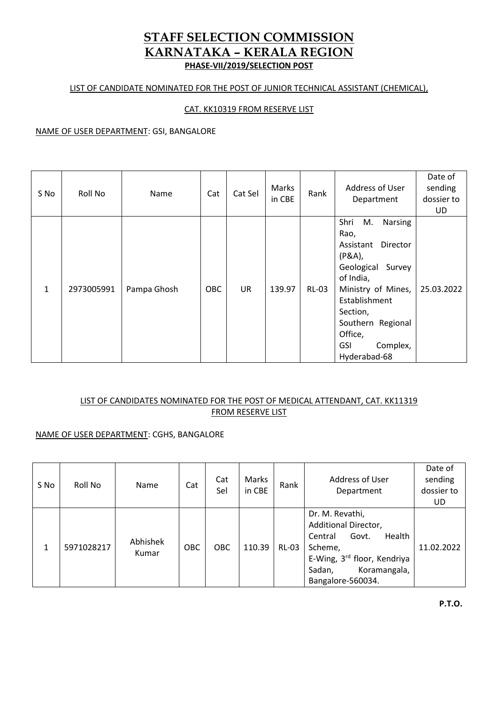### LIST OF CANDIDATE NOMINATED FOR THE POST OF JUNIOR TECHNICAL ASSISTANT (CHEMICAL),

## CAT. KK10319 FROM RESERVE LIST

#### NAME OF USER DEPARTMENT: GSI, BANGALORE

| S No         | Roll No    | Name        | Cat        | Cat Sel   | Marks<br>in CBE | Rank         | Address of User<br>Department                                                                                                                                                                                                             | Date of<br>sending<br>dossier to<br>UD. |
|--------------|------------|-------------|------------|-----------|-----------------|--------------|-------------------------------------------------------------------------------------------------------------------------------------------------------------------------------------------------------------------------------------------|-----------------------------------------|
| $\mathbf{1}$ | 2973005991 | Pampa Ghosh | <b>OBC</b> | <b>UR</b> | 139.97          | <b>RL-03</b> | Shri<br>M.<br><b>Narsing</b><br>Rao,<br>Director<br>Assistant<br>(P&A),<br>Geological<br>Survey<br>of India,<br>Ministry of Mines,<br>Establishment<br>Section,<br>Southern Regional<br>Office,<br>Complex,<br><b>GSI</b><br>Hyderabad-68 | 25.03.2022                              |

# LIST OF CANDIDATES NOMINATED FOR THE POST OF MEDICAL ATTENDANT, CAT. KK11319 FROM RESERVE LIST

## NAME OF USER DEPARTMENT: CGHS, BANGALORE

| S No | Roll No    | Name              | Cat        | Cat<br>Sel | Marks<br>in CBE | Rank         | Address of User<br>Department                                                                                                                                  | Date of<br>sending<br>dossier to<br>UD. |
|------|------------|-------------------|------------|------------|-----------------|--------------|----------------------------------------------------------------------------------------------------------------------------------------------------------------|-----------------------------------------|
| 1    | 5971028217 | Abhishek<br>Kumar | <b>OBC</b> | <b>OBC</b> | 110.39          | <b>RL-03</b> | Dr. M. Revathi,<br>Additional Director,<br>Health<br>Govt.<br>Central<br>Scheme,<br>E-Wing, 3rd floor, Kendriya<br>Sadan,<br>Koramangala,<br>Bangalore-560034. | 11.02.2022                              |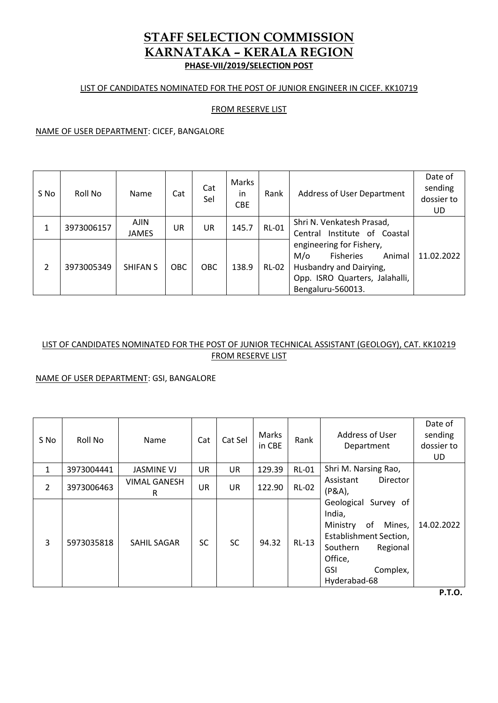### LIST OF CANDIDATES NOMINATED FOR THE POST OF JUNIOR ENGINEER IN CICEF. KK10719

### FROM RESERVE LIST

NAME OF USER DEPARTMENT: CICEF, BANGALORE

| S No | Roll No    | Name                        | Cat        | Cat<br>Sel | Marks<br>in<br><b>CBE</b> | Rank         | Address of User Department                                                                                                                             | Date of<br>sending<br>dossier to<br>UD. |
|------|------------|-----------------------------|------------|------------|---------------------------|--------------|--------------------------------------------------------------------------------------------------------------------------------------------------------|-----------------------------------------|
|      | 3973006157 | <b>AJIN</b><br><b>JAMES</b> | UR         | UR         | 145.7                     | <b>RL-01</b> | Shri N. Venkatesh Prasad,<br>Central Institute of Coastal                                                                                              |                                         |
| 2    | 3973005349 | <b>SHIFAN S</b>             | <b>OBC</b> | <b>OBC</b> | 138.9                     | <b>RL-02</b> | engineering for Fishery,<br><b>Fisheries</b><br>$M/\sigma$<br>Animal<br>Husbandry and Dairying,<br>Opp. ISRO Quarters, Jalahalli,<br>Bengaluru-560013. | 11.02.2022                              |

# LIST OF CANDIDATES NOMINATED FOR THE POST OF JUNIOR TECHNICAL ASSISTANT (GEOLOGY), CAT. KK10219 FROM RESERVE LIST

### NAME OF USER DEPARTMENT: GSI, BANGALORE

| S No         | Roll No    | Name                     | Cat       | Cat Sel   | Marks<br>in CBE | Rank         | Address of User<br>Department                                                                                                                                            | Date of<br>sending<br>dossier to<br>UD. |
|--------------|------------|--------------------------|-----------|-----------|-----------------|--------------|--------------------------------------------------------------------------------------------------------------------------------------------------------------------------|-----------------------------------------|
| $\mathbf{1}$ | 3973004441 | <b>JASMINE VJ</b>        | <b>UR</b> | UR.       | 129.39          | <b>RL-01</b> | Shri M. Narsing Rao,                                                                                                                                                     |                                         |
| 2            | 3973006463 | <b>VIMAL GANESH</b><br>R | <b>UR</b> | <b>UR</b> | 122.90          | <b>RL-02</b> | Director<br>Assistant<br>(P&A),                                                                                                                                          |                                         |
| 3            | 5973035818 | SAHIL SAGAR              | <b>SC</b> | <b>SC</b> | 94.32           | $RL-13$      | Geological Survey of<br>India,<br>Ministry<br>of<br>Mines,<br><b>Establishment Section,</b><br>Southern<br>Regional<br>Office,<br>Complex,<br><b>GSI</b><br>Hyderabad-68 | 14.02.2022                              |

**P.T.O.**